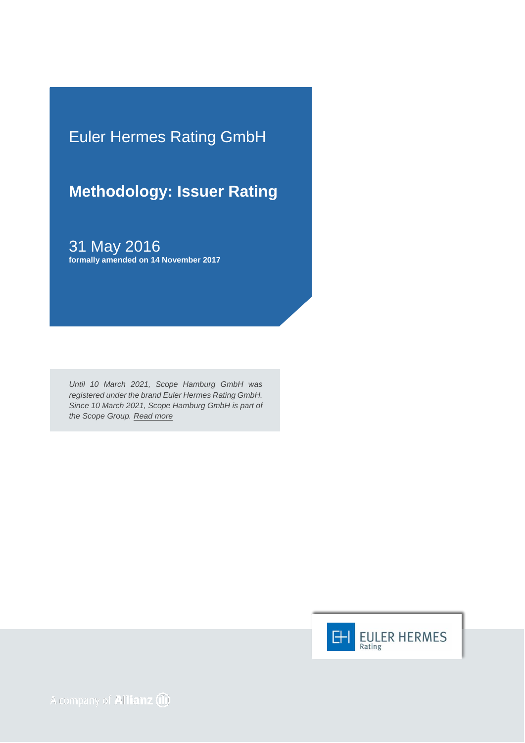Euler Hermes Rating GmbH

# **Methodology: Issuer Rating**

31 May 2016 **formally amended on 14 November 2017**

*Until 10 March 2021, Scope Hamburg GmbH was registered under the brand Euler Hermes Rating GmbH. Since 10 March 2021, Scope Hamburg GmbH is part of the Scope Group. [Read more](https://scopegroup.com/media-centre/Scope-Group-acquires-Euler-Hermes-Rating-.html)*

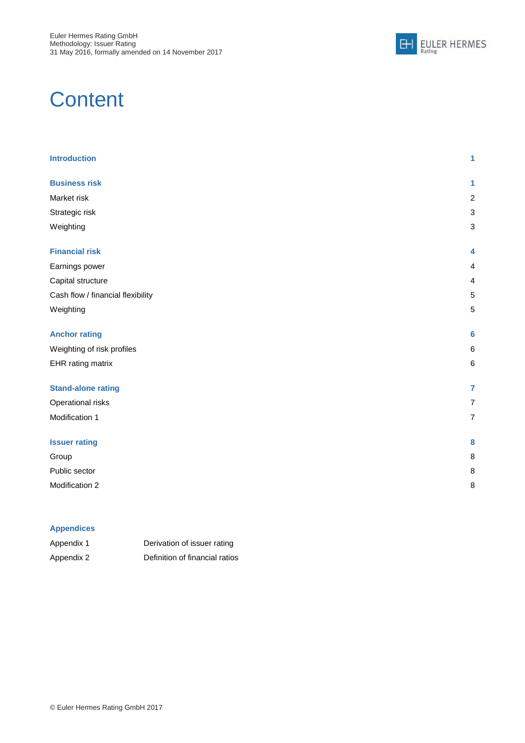

# **Content**

| <b>Introduction</b>               | 1              |
|-----------------------------------|----------------|
| <b>Business risk</b>              | 1              |
| Market risk                       | $\overline{c}$ |
| Strategic risk                    | 3              |
| Weighting                         | 3              |
| <b>Financial risk</b>             | 4              |
| Earnings power                    | 4              |
| Capital structure                 | 4              |
| Cash flow / financial flexibility | 5              |
| Weighting                         | 5              |
| <b>Anchor rating</b>              | 6              |
| Weighting of risk profiles        | 6              |
| EHR rating matrix                 | 6              |
| <b>Stand-alone rating</b>         | $\overline{7}$ |
| Operational risks                 | $\overline{7}$ |
| Modification 1                    | $\overline{7}$ |
| <b>Issuer rating</b>              | 8              |
| Group                             | 8              |
| Public sector                     | 8              |
| Modification 2                    | 8              |

### **Appendices**

| Appendix 1 | Derivation of issuer rating    |
|------------|--------------------------------|
| Appendix 2 | Definition of financial ratios |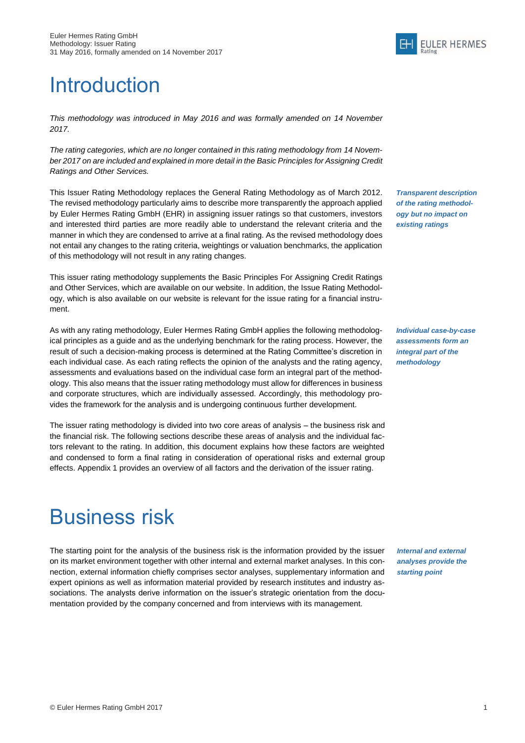# <span id="page-2-0"></span>**Introduction**

*This methodology was introduced in May 2016 and was formally amended on 14 November 2017.*

*The rating categories, which are no longer contained in this rating methodology from 14 November 2017 on are included and explained in more detail in the Basic Principles for Assigning Credit Ratings and Other Services.*

This Issuer Rating Methodology replaces the General Rating Methodology as of March 2012. The revised methodology particularly aims to describe more transparently the approach applied by Euler Hermes Rating GmbH (EHR) in assigning issuer ratings so that customers, investors and interested third parties are more readily able to understand the relevant criteria and the manner in which they are condensed to arrive at a final rating. As the revised methodology does not entail any changes to the rating criteria, weightings or valuation benchmarks, the application of this methodology will not result in any rating changes.

This issuer rating methodology supplements the Basic Principles For Assigning Credit Ratings and Other Services, which are available on our website. In addition, the Issue Rating Methodology, which is also available on our website is relevant for the issue rating for a financial instrument.

As with any rating methodology, Euler Hermes Rating GmbH applies the following methodological principles as a guide and as the underlying benchmark for the rating process. However, the result of such a decision-making process is determined at the Rating Committee's discretion in each individual case. As each rating reflects the opinion of the analysts and the rating agency, assessments and evaluations based on the individual case form an integral part of the methodology. This also means that the issuer rating methodology must allow for differences in business and corporate structures, which are individually assessed. Accordingly, this methodology provides the framework for the analysis and is undergoing continuous further development.

The issuer rating methodology is divided into two core areas of analysis – the business risk and the financial risk. The following sections describe these areas of analysis and the individual factors relevant to the rating. In addition, this document explains how these factors are weighted and condensed to form a final rating in consideration of operational risks and external group effects. Appendix 1 provides an overview of all factors and the derivation of the issuer rating.

# <span id="page-2-1"></span>Business risk

The starting point for the analysis of the business risk is the information provided by the issuer on its market environment together with other internal and external market analyses. In this connection, external information chiefly comprises sector analyses, supplementary information and expert opinions as well as information material provided by research institutes and industry associations. The analysts derive information on the issuer's strategic orientation from the documentation provided by the company concerned and from interviews with its management.

*Transparent description of the rating methodology but no impact on existing ratings*

*Individual case-by-case assessments form an integral part of the methodology*

*Internal and external analyses provide the starting point*

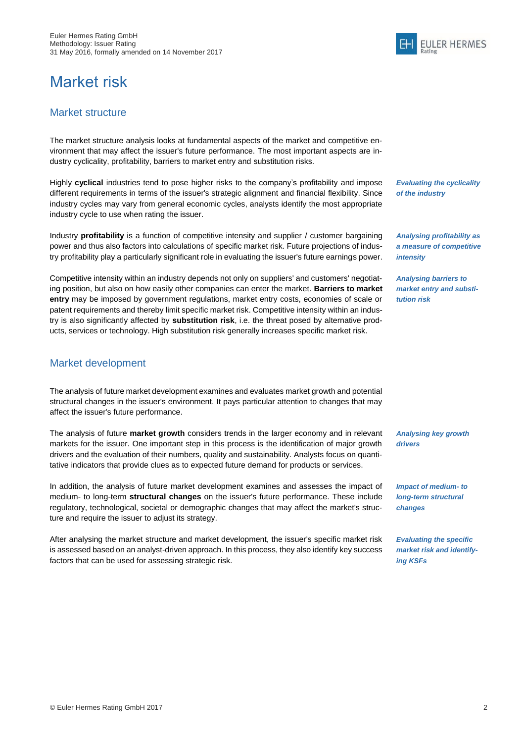# <span id="page-3-0"></span>Market risk

### Market structure

The market structure analysis looks at fundamental aspects of the market and competitive environment that may affect the issuer's future performance. The most important aspects are industry cyclicality, profitability, barriers to market entry and substitution risks.

Highly **cyclical** industries tend to pose higher risks to the company's profitability and impose different requirements in terms of the issuer's strategic alignment and financial flexibility. Since industry cycles may vary from general economic cycles, analysts identify the most appropriate industry cycle to use when rating the issuer.

Industry **profitability** is a function of competitive intensity and supplier / customer bargaining power and thus also factors into calculations of specific market risk. Future projections of industry profitability play a particularly significant role in evaluating the issuer's future earnings power.

Competitive intensity within an industry depends not only on suppliers' and customers' negotiating position, but also on how easily other companies can enter the market. **Barriers to market entry** may be imposed by government regulations, market entry costs, economies of scale or patent requirements and thereby limit specific market risk. Competitive intensity within an industry is also significantly affected by **substitution risk**, i.e. the threat posed by alternative products, services or technology. High substitution risk generally increases specific market risk.

### Market development

The analysis of future market development examines and evaluates market growth and potential structural changes in the issuer's environment. It pays particular attention to changes that may affect the issuer's future performance.

The analysis of future **market growth** considers trends in the larger economy and in relevant markets for the issuer. One important step in this process is the identification of major growth drivers and the evaluation of their numbers, quality and sustainability. Analysts focus on quantitative indicators that provide clues as to expected future demand for products or services.

In addition, the analysis of future market development examines and assesses the impact of medium- to long-term **structural changes** on the issuer's future performance. These include regulatory, technological, societal or demographic changes that may affect the market's structure and require the issuer to adjust its strategy.

After analysing the market structure and market development, the issuer's specific market risk is assessed based on an analyst-driven approach. In this process, they also identify key success factors that can be used for assessing strategic risk.

*Evaluating the cyclicality of the industry*

*Analysing profitability as a measure of competitive intensity*

*Analysing barriers to market entry and substitution risk*

*Analysing key growth drivers*

*Impact of medium- to long-term structural changes*

*Evaluating the specific market risk and identifying KSFs*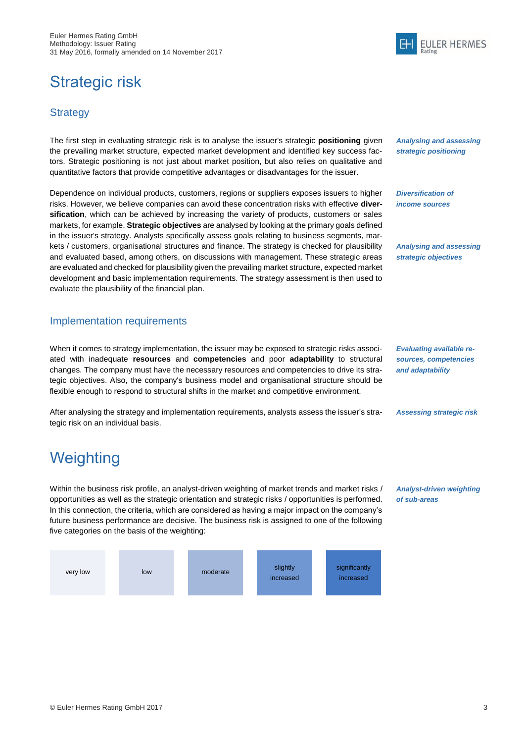# <span id="page-4-0"></span>Strategic risk

### **Strategy**

The first step in evaluating strategic risk is to analyse the issuer's strategic **positioning** given the prevailing market structure, expected market development and identified key success factors. Strategic positioning is not just about market position, but also relies on qualitative and quantitative factors that provide competitive advantages or disadvantages for the issuer.

Dependence on individual products, customers, regions or suppliers exposes issuers to higher risks. However, we believe companies can avoid these concentration risks with effective **diversification**, which can be achieved by increasing the variety of products, customers or sales markets, for example. **Strategic objectives** are analysed by looking at the primary goals defined in the issuer's strategy. Analysts specifically assess goals relating to business segments, markets / customers, organisational structures and finance. The strategy is checked for plausibility and evaluated based, among others, on discussions with management. These strategic areas are evaluated and checked for plausibility given the prevailing market structure, expected market development and basic implementation requirements. The strategy assessment is then used to evaluate the plausibility of the financial plan.

### Implementation requirements

When it comes to strategy implementation, the issuer may be exposed to strategic risks associated with inadequate **resources** and **competencies** and poor **adaptability** to structural changes. The company must have the necessary resources and competencies to drive its strategic objectives. Also, the company's business model and organisational structure should be flexible enough to respond to structural shifts in the market and competitive environment.

After analysing the strategy and implementation requirements, analysts assess the issuer's strategic risk on an individual basis.

# <span id="page-4-1"></span>**Weighting**

Within the business risk profile, an analyst-driven weighting of market trends and market risks / opportunities as well as the strategic orientation and strategic risks / opportunities is performed. In this connection, the criteria, which are considered as having a major impact on the company's future business performance are decisive. The business risk is assigned to one of the following five categories on the basis of the weighting:



*Analysing and assessing strategic positioning*

*Diversification of income sources*

*Analysing and assessing strategic objectives*

*Evaluating available resources, competencies and adaptability*

*Assessing strategic risk*

*Analyst-driven weighting of sub-areas*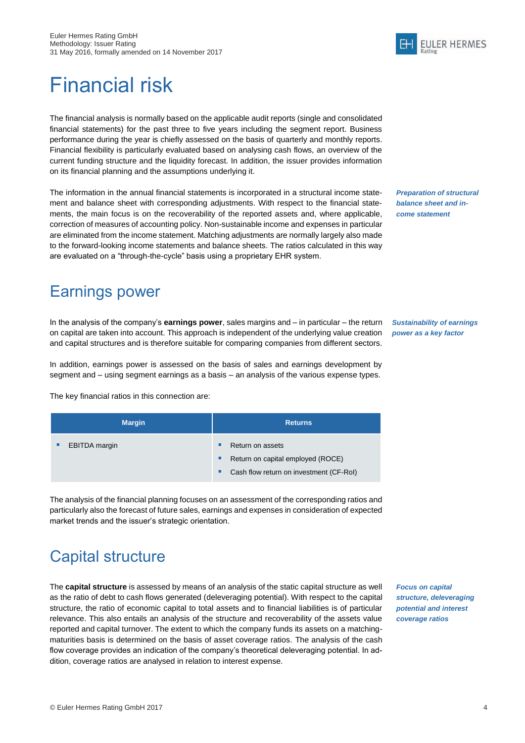

# <span id="page-5-0"></span>Financial risk

The financial analysis is normally based on the applicable audit reports (single and consolidated financial statements) for the past three to five years including the segment report. Business performance during the year is chiefly assessed on the basis of quarterly and monthly reports. Financial flexibility is particularly evaluated based on analysing cash flows, an overview of the current funding structure and the liquidity forecast. In addition, the issuer provides information on its financial planning and the assumptions underlying it.

The information in the annual financial statements is incorporated in a structural income statement and balance sheet with corresponding adjustments. With respect to the financial statements, the main focus is on the recoverability of the reported assets and, where applicable, correction of measures of accounting policy. Non-sustainable income and expenses in particular are eliminated from the income statement. Matching adjustments are normally largely also made to the forward-looking income statements and balance sheets. The ratios calculated in this way are evaluated on a "through-the-cycle" basis using a proprietary EHR system.

*Preparation of structural balance sheet and income statement*

*Sustainability of earnings power as a key factor* 

## <span id="page-5-1"></span>Earnings power

In the analysis of the company's **earnings power**, sales margins and – in particular – the return on capital are taken into account. This approach is independent of the underlying value creation and capital structures and is therefore suitable for comparing companies from different sectors.

In addition, earnings power is assessed on the basis of sales and earnings development by segment and – using segment earnings as a basis – an analysis of the various expense types.

The key financial ratios in this connection are:

| <b>Margin</b>        | <b>Returns</b>                                                                                                  |
|----------------------|-----------------------------------------------------------------------------------------------------------------|
| <b>EBITDA</b> margin | п<br>Return on assets<br>Return on capital employed (ROCE)<br>٠<br>Cash flow return on investment (CF-RoI)<br>٠ |

The analysis of the financial planning focuses on an assessment of the corresponding ratios and particularly also the forecast of future sales, earnings and expenses in consideration of expected market trends and the issuer's strategic orientation.

# <span id="page-5-2"></span>Capital structure

The **capital structure** is assessed by means of an analysis of the static capital structure as well as the ratio of debt to cash flows generated (deleveraging potential). With respect to the capital structure, the ratio of economic capital to total assets and to financial liabilities is of particular relevance. This also entails an analysis of the structure and recoverability of the assets value reported and capital turnover. The extent to which the company funds its assets on a matchingmaturities basis is determined on the basis of asset coverage ratios. The analysis of the cash flow coverage provides an indication of the company's theoretical deleveraging potential. In addition, coverage ratios are analysed in relation to interest expense.

*Focus on capital* 

*structure, deleveraging potential and interest coverage ratios*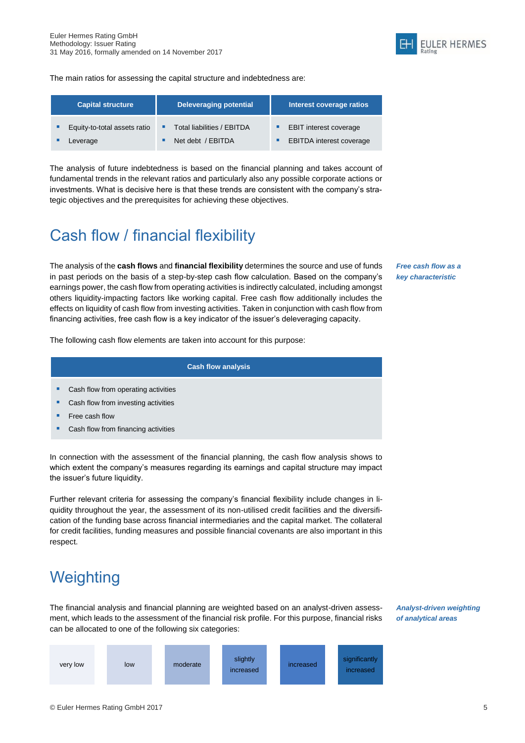

The main ratios for assessing the capital structure and indebtedness are:

| <b>Capital structure</b>     | <b>Deleveraging potential</b> | Interest coverage ratios        |
|------------------------------|-------------------------------|---------------------------------|
| Equity-to-total assets ratio | Total liabilities / EBITDA    | <b>EBIT interest coverage</b>   |
| Leverage                     | Net debt / EBITDA             | <b>EBITDA</b> interest coverage |

The analysis of future indebtedness is based on the financial planning and takes account of fundamental trends in the relevant ratios and particularly also any possible corporate actions or investments. What is decisive here is that these trends are consistent with the company's strategic objectives and the prerequisites for achieving these objectives.

# <span id="page-6-0"></span>Cash flow / financial flexibility

The analysis of the **cash flows** and **financial flexibility** determines the source and use of funds in past periods on the basis of a step-by-step cash flow calculation. Based on the company's earnings power, the cash flow from operating activities is indirectly calculated, including amongst others liquidity-impacting factors like working capital. Free cash flow additionally includes the effects on liquidity of cash flow from investing activities. Taken in conjunction with cash flow from financing activities, free cash flow is a key indicator of the issuer's deleveraging capacity.

*Free cash flow as a key characteristic*

The following cash flow elements are taken into account for this purpose:

#### **Cash flow analysis**

- Cash flow from operating activities
- Cash flow from investing activities
- Free cash flow
- Cash flow from financing activities

In connection with the assessment of the financial planning, the cash flow analysis shows to which extent the company's measures regarding its earnings and capital structure may impact the issuer's future liquidity.

Further relevant criteria for assessing the company's financial flexibility include changes in liquidity throughout the year, the assessment of its non-utilised credit facilities and the diversification of the funding base across financial intermediaries and the capital market. The collateral for credit facilities, funding measures and possible financial covenants are also important in this respect.

# <span id="page-6-1"></span>**Weighting**

The financial analysis and financial planning are weighted based on an analyst-driven assessment, which leads to the assessment of the financial risk profile. For this purpose, financial risks can be allocated to one of the following six categories:



*Analyst-driven weighting of analytical areas*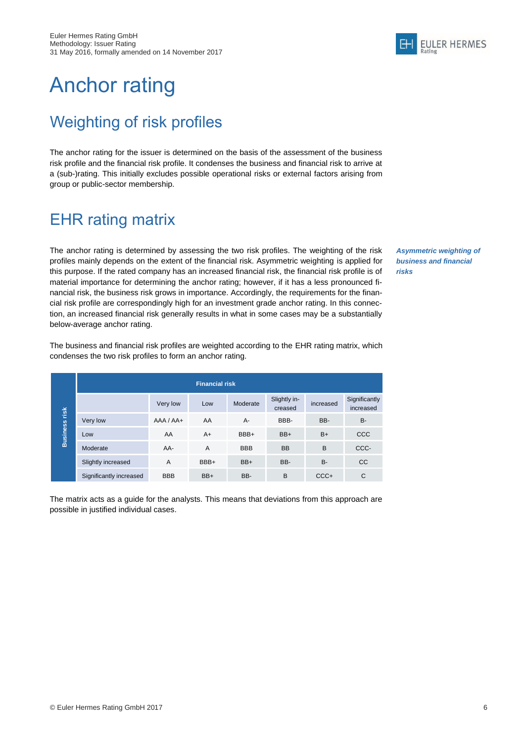

# <span id="page-7-0"></span>Anchor rating

# <span id="page-7-1"></span>Weighting of risk profiles

The anchor rating for the issuer is determined on the basis of the assessment of the business risk profile and the financial risk profile. It condenses the business and financial risk to arrive at a (sub-)rating. This initially excludes possible operational risks or external factors arising from group or public-sector membership.

## <span id="page-7-2"></span>EHR rating matrix

The anchor rating is determined by assessing the two risk profiles. The weighting of the risk profiles mainly depends on the extent of the financial risk. Asymmetric weighting is applied for this purpose. If the rated company has an increased financial risk, the financial risk profile is of material importance for determining the anchor rating; however, if it has a less pronounced financial risk, the business risk grows in importance. Accordingly, the requirements for the financial risk profile are correspondingly high for an investment grade anchor rating. In this connection, an increased financial risk generally results in what in some cases may be a substantially below-average anchor rating.

*Asymmetric weighting of business and financial risks*

The business and financial risk profiles are weighted according to the EHR rating matrix, which condenses the two risk profiles to form an anchor rating.

|                 | <b>Financial risk</b>   |               |      |            |                         |           |                            |
|-----------------|-------------------------|---------------|------|------------|-------------------------|-----------|----------------------------|
| risk            |                         | Very low      | Low  | Moderate   | Slightly in-<br>creased | increased | Significantly<br>increased |
|                 | Very low                | $AAA / AAA +$ | AA   | $A -$      | BBB-                    | BB-       | <b>B-</b>                  |
| <b>Business</b> | Low                     | AA            | $A+$ | BBB+       | BB+                     | $B+$      | <b>CCC</b>                 |
|                 | Moderate                | AA-           | A    | <b>BBB</b> | <b>BB</b>               | B         | CCC-                       |
|                 | Slightly increased      | A             | BBB+ | $BB+$      | BB-                     | <b>B-</b> | <b>CC</b>                  |
|                 | Significantly increased | <b>BBB</b>    | BB+  | BB-        | B                       | $CCC +$   | C                          |

The matrix acts as a guide for the analysts. This means that deviations from this approach are possible in justified individual cases.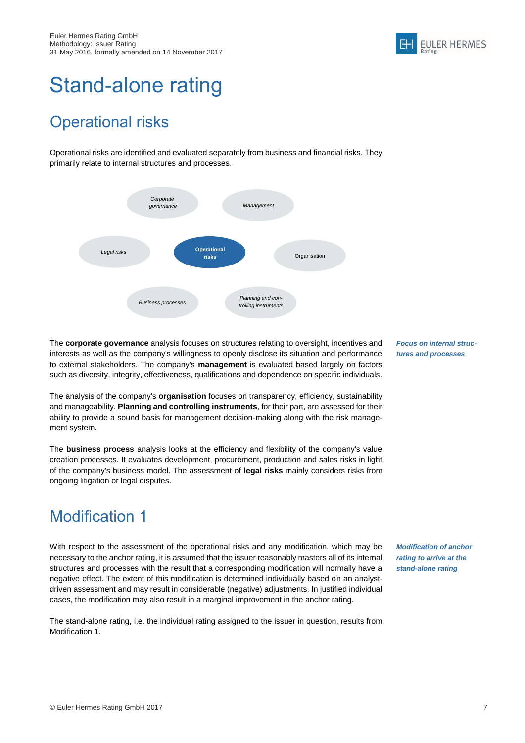

# <span id="page-8-0"></span>Stand-alone rating

# <span id="page-8-1"></span>Operational risks

Operational risks are identified and evaluated separately from business and financial risks. They primarily relate to internal structures and processes.



The **corporate governance** analysis focuses on structures relating to oversight, incentives and interests as well as the company's willingness to openly disclose its situation and performance to external stakeholders. The company's **management** is evaluated based largely on factors such as diversity, integrity, effectiveness, qualifications and dependence on specific individuals.

The analysis of the company's **organisation** focuses on transparency, efficiency, sustainability and manageability. **Planning and controlling instruments**, for their part, are assessed for their ability to provide a sound basis for management decision-making along with the risk management system.

The **business process** analysis looks at the efficiency and flexibility of the company's value creation processes. It evaluates development, procurement, production and sales risks in light of the company's business model. The assessment of **legal risks** mainly considers risks from ongoing litigation or legal disputes.

# <span id="page-8-2"></span>Modification 1

With respect to the assessment of the operational risks and any modification, which may be necessary to the anchor rating, it is assumed that the issuer reasonably masters all of its internal structures and processes with the result that a corresponding modification will normally have a negative effect. The extent of this modification is determined individually based on an analystdriven assessment and may result in considerable (negative) adjustments. In justified individual cases, the modification may also result in a marginal improvement in the anchor rating.

The stand-alone rating, i.e. the individual rating assigned to the issuer in question, results from Modification 1.

*Focus on internal structures and processes*

*Modification of anchor rating to arrive at the stand-alone rating*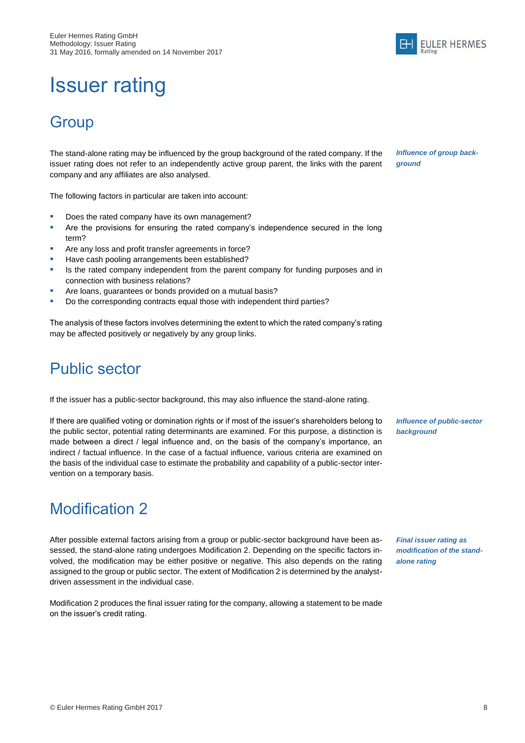# <span id="page-9-0"></span>Issuer rating

## <span id="page-9-1"></span>**Group**

The stand-alone rating may be influenced by the group background of the rated company. If the issuer rating does not refer to an independently active group parent, the links with the parent company and any affiliates are also analysed.

The following factors in particular are taken into account:

- Does the rated company have its own management?
- **•** Are the provisions for ensuring the rated company's independence secured in the long term?
- Are any loss and profit transfer agreements in force?
- Have cash pooling arrangements been established?
- **In It is the rated company independent from the parent company for funding purposes and in** connection with business relations?
- Are loans, guarantees or bonds provided on a mutual basis?
- Do the corresponding contracts equal those with independent third parties?

The analysis of these factors involves determining the extent to which the rated company's rating may be affected positively or negatively by any group links.

## <span id="page-9-2"></span>Public sector

If the issuer has a public-sector background, this may also influence the stand-alone rating.

If there are qualified voting or domination rights or if most of the issuer's shareholders belong to the public sector, potential rating determinants are examined. For this purpose, a distinction is made between a direct / legal influence and, on the basis of the company's importance, an indirect / factual influence. In the case of a factual influence, various criteria are examined on the basis of the individual case to estimate the probability and capability of a public-sector intervention on a temporary basis.

## <span id="page-9-3"></span>Modification 2

After possible external factors arising from a group or public-sector background have been assessed, the stand-alone rating undergoes Modification 2. Depending on the specific factors involved, the modification may be either positive or negative. This also depends on the rating assigned to the group or public sector. The extent of Modification 2 is determined by the analystdriven assessment in the individual case.

Modification 2 produces the final issuer rating for the company, allowing a statement to be made on the issuer's credit rating.

*Influence of public-sector background*

*Final issuer rating as modification of the standalone rating*



*Influence of group background*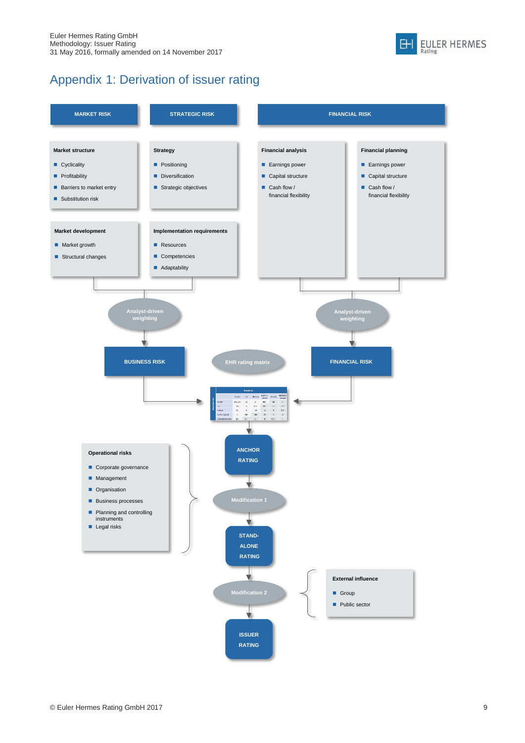

## Appendix 1: Derivation of issuer rating

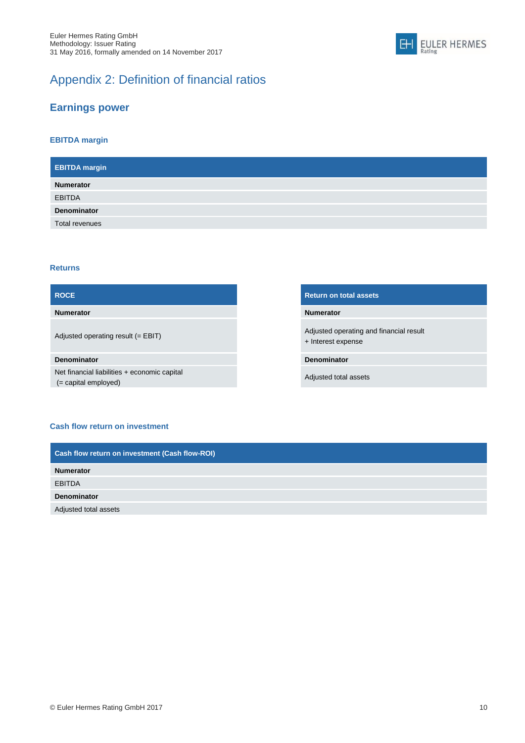

## Appendix 2: Definition of financial ratios

### **Earnings power**

### **EBITDA margin**

| <b>EBITDA</b> margin |  |
|----------------------|--|
| <b>Numerator</b>     |  |
| <b>EBITDA</b>        |  |
| <b>Denominator</b>   |  |
| Total revenues       |  |

#### **Returns**

### **ROCE Return on total assets Numerator Numerator** Adjusted operating result (= EBIT) Adjusted operating and financial result + Interest expense **Denominator Denominator** Net financial liabilities + economic capital (= capital employed) Adjusted total assets

#### **Cash flow return on investment**

| Cash flow return on investment (Cash flow-ROI) |  |
|------------------------------------------------|--|
| <b>Numerator</b>                               |  |
| <b>EBITDA</b>                                  |  |
| <b>Denominator</b>                             |  |
| Adjusted total assets                          |  |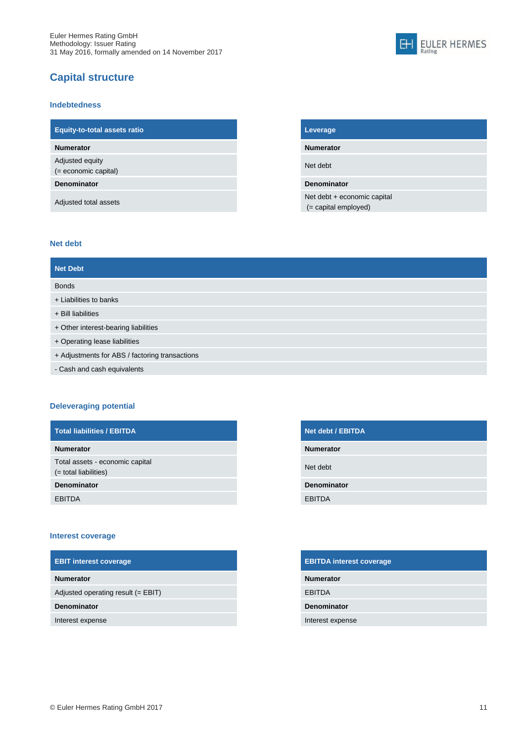## **Capital structure**

#### **Indebtedness**

| <b>Equity-to-total assets ratio</b>       |
|-------------------------------------------|
| <b>Numerator</b>                          |
| Adjusted equity<br>$(=$ economic capital) |
| <b>Denominator</b>                        |
| Adjusted total assets                     |

### **Equity-to-total assets ratio Leverage**

**Numerator Numerator**

Net debt

#### **Denominator Denominator**

Net debt + economic capital (= capital employed)

**EULER HERMES** 

 $H$ 

Rating

#### **Net debt**

| <b>Net Debt</b>                                |
|------------------------------------------------|
| <b>Bonds</b>                                   |
| + Liabilities to banks                         |
| $+$ Bill liabilities                           |
| + Other interest-bearing liabilities           |
| + Operating lease liabilities                  |
| + Adjustments for ABS / factoring transactions |
| - Cash and cash equivalents                    |

### **Deleveraging potential**

| Total liabilities / EBITDA                                  | Net debt / EBITDA  |
|-------------------------------------------------------------|--------------------|
| <b>Numerator</b>                                            | <b>Numerator</b>   |
| Total assets - economic capital<br>$($ = total liabilities) | Net debt           |
| Denominator                                                 | <b>Denominator</b> |
| <b>EBITDA</b>                                               | <b>EBITDA</b>      |

#### **Interest coverage**

| <b>EBIT interest coverage</b>        | <b>EBITDA interest coverage</b> |
|--------------------------------------|---------------------------------|
| <b>Numerator</b>                     | <b>Numerator</b>                |
| Adjusted operating result $(= EBIT)$ | <b>EBITDA</b>                   |
| <b>Denominator</b>                   | <b>Denominator</b>              |
| Interest expense                     | Interest expense                |

| <b>Net debt / EBITDA</b> |
|--------------------------|
| <b>Numerator</b>         |
| Net debt                 |
| Denominator              |
| <b>EBITDA</b>            |

| <b>EBITDA interest coverage</b> |
|---------------------------------|
| <b>Numerator</b>                |
| <b>EBITDA</b>                   |
| <b>Denominator</b>              |
| Interest expense                |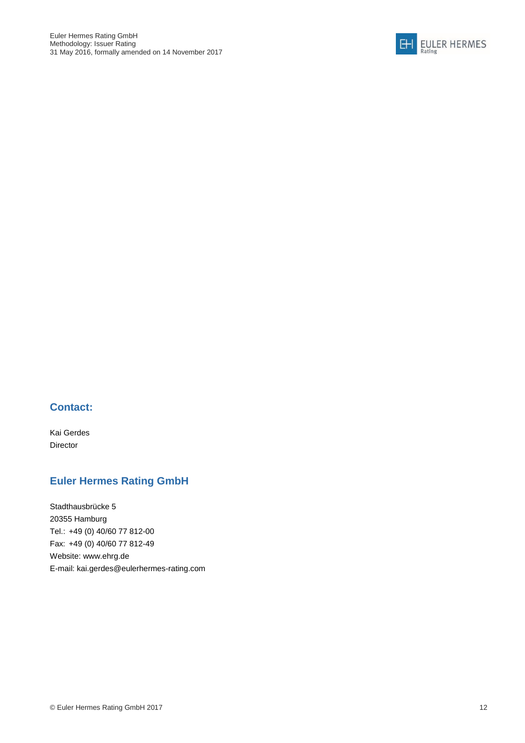

### **Contact:**

Kai Gerdes Director

## **Euler Hermes Rating GmbH**

Stadthausbrücke 5 20355 Hamburg Tel.: +49 (0) 40/60 77 812-00 Fax: +49 (0) 40/60 77 812-49 Website: www.ehrg.de E-mail: [kai.gerdes@eulerhermes-rating.com](mailto:kai.gerdes@eulerhermes-rating.com)